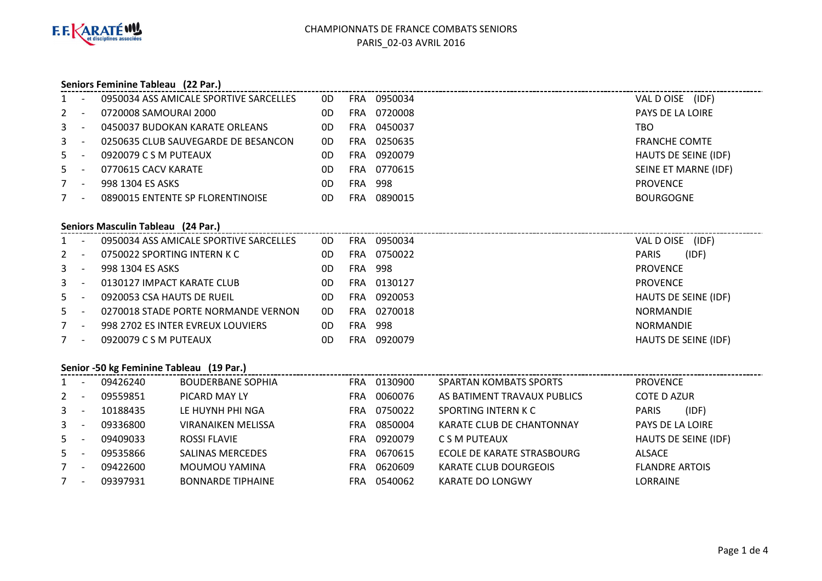

#### **Seniors Feminine Tableau (22 Par.)**

|       |                          | 0950034 ASS AMICALE SPORTIVE SARCELLES | 0D | FRA.       | 0950034 | VAL D OISE (IDF)            |
|-------|--------------------------|----------------------------------------|----|------------|---------|-----------------------------|
| $2 -$ |                          | 0720008 SAMOURAI 2000                  | 0D | FRA        | 0720008 | PAYS DE LA LOIRE            |
| $3 -$ |                          | 0450037 BUDOKAN KARATE ORLEANS         | 0D | <b>FRA</b> | 0450037 | TBO                         |
| $3 -$ |                          | 0250635 CLUB SAUVEGARDE DE BESANCON    | 0D | FRA        | 0250635 | <b>FRANCHE COMTE</b>        |
| $5 -$ |                          | 0920079 C S M PUTEAUX                  | 0D | FRA        | 0920079 | <b>HAUTS DE SEINE (IDF)</b> |
| $5 -$ |                          | 0770615 CACV KARATE                    | 0D | FRA.       | 0770615 | SEINE ET MARNE (IDF)        |
|       | $\overline{\phantom{a}}$ | 998 1304 ES ASKS                       | 0D | FRA.       | 998     | <b>PROVENCE</b>             |
|       |                          | 0890015 ENTENTE SP FLORENTINOISE       | 0D | FRA        | 0890015 | <b>BOURGOGNE</b>            |

### **Seniors Masculin Tableau (24 Par.)**

| $1 -$          |                          | 0950034 ASS AMICALE SPORTIVE SARCELLES | 0D | FRA        | 0950034 | (IDF)<br>VAL D OISE         |
|----------------|--------------------------|----------------------------------------|----|------------|---------|-----------------------------|
| $2 -$          |                          | 0750022 SPORTING INTERN K C            | 0D | FRA.       | 0750022 | (IDF)<br><b>PARIS</b>       |
| 3 <sup>7</sup> |                          | 998 1304 ES ASKS                       | 0D | FRA        | -998    | <b>PROVENCE</b>             |
| $3 -$          |                          | 0130127 IMPACT KARATE CLUB             | 0D | FRA        | 0130127 | <b>PROVENCE</b>             |
| $5 -$          |                          | 0920053 CSA HAUTS DE RUEIL             | 0D | <b>FRA</b> | 0920053 | <b>HAUTS DE SEINE (IDF)</b> |
| $5 -$          |                          | 0270018 STADE PORTE NORMANDE VERNON    | 0D | <b>FRA</b> | 0270018 | <b>NORMANDIE</b>            |
| $7^{\circ}$    | $\overline{\phantom{a}}$ | 998 2702 ES INTER EVREUX LOUVIERS      | 0D | FRA        | -998    | <b>NORMANDIE</b>            |
|                | $\overline{\phantom{a}}$ | 0920079 C S M PUTEAUX                  | 0D | <b>FRA</b> | 0920079 | HAUTS DE SEINE (IDF)        |
|                |                          |                                        |    |            |         |                             |

#### **Senior -50 kg Feminine Tableau (19 Par.)**

|             |                          | 09426240 | <b>BOUDERBANE SOPHIA</b>  | <b>FRA</b> | 0130900 | <b>SPARTAN KOMBATS SPORTS</b> | <b>PROVENCE</b>       |
|-------------|--------------------------|----------|---------------------------|------------|---------|-------------------------------|-----------------------|
| $2 -$       |                          | 09559851 | PICARD MAY LY             | <b>FRA</b> | 0060076 | AS BATIMENT TRAVAUX PUBLICS   | <b>COTE D AZUR</b>    |
| $3 -$       |                          | 10188435 | LE HUYNH PHI NGA          | <b>FRA</b> | 0750022 | SPORTING INTERN K C           | (IDF)<br><b>PARIS</b> |
| $3 -$       |                          | 09336800 | <b>VIRANAIKEN MELISSA</b> | <b>FRA</b> | 0850004 | KARATE CLUB DE CHANTONNAY     | PAYS DE LA LOIRE      |
| $5 -$       |                          | 09409033 | <b>ROSSI FLAVIE</b>       | <b>FRA</b> | 0920079 | C S M PUTEAUX                 | HAUTS DE SEINE (IDF)  |
| $5 -$       |                          | 09535866 | <b>SALINAS MERCEDES</b>   | <b>FRA</b> | 0670615 | ECOLE DE KARATE STRASBOURG    | <b>ALSACE</b>         |
| $7^{\circ}$ | $\overline{\phantom{a}}$ | 09422600 | MOUMOU YAMINA             | <b>FRA</b> | 0620609 | <b>KARATE CLUB DOURGEOIS</b>  | <b>FLANDRE ARTOIS</b> |
|             | <b>.</b>                 | 09397931 | <b>BONNARDE TIPHAINE</b>  | <b>FRA</b> | 0540062 | <b>KARATE DO LONGWY</b>       | <b>LORRAINE</b>       |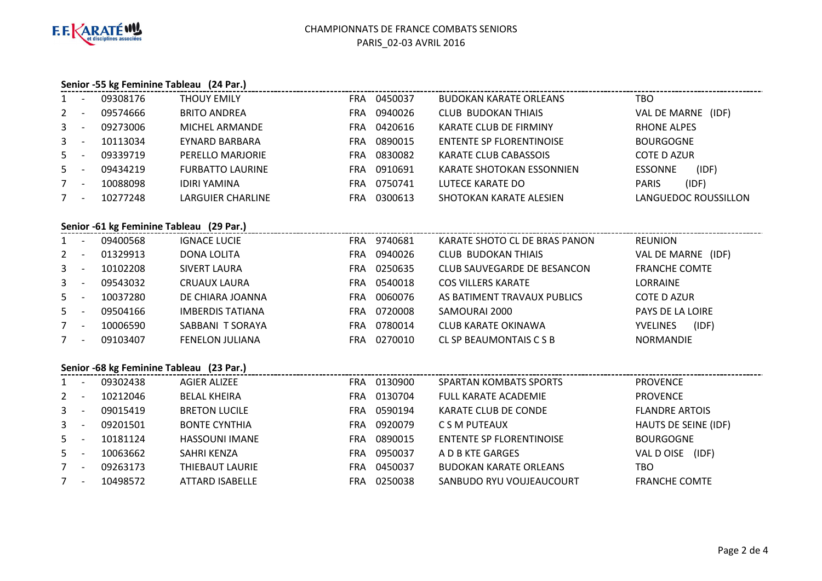

### **Senior -55 kg Feminine Tableau (24 Par.)**

| $1 -$   |          | 09308176 | <b>THOUY EMILY</b>      | <b>FRA</b> | 0450037 | <b>BUDOKAN KARATE ORLEANS</b>   | тво                     |
|---------|----------|----------|-------------------------|------------|---------|---------------------------------|-------------------------|
| $2 -$   |          | 09574666 | <b>BRITO ANDREA</b>     | <b>FRA</b> | 0940026 | <b>CLUB BUDOKAN THIAIS</b>      | VAL DE MARNE<br>(IDF)   |
| $3 - 5$ |          | 09273006 | MICHEL ARMANDE          | <b>FRA</b> | 0420616 | KARATE CLUB DE FIRMINY          | <b>RHONE ALPES</b>      |
| $3 -$   |          | 10113034 | EYNARD BARBARA          | <b>FRA</b> | 0890015 | <b>ENTENTE SP FLORENTINOISE</b> | <b>BOURGOGNE</b>        |
| $5 -$   |          | 09339719 | PERELLO MARJORIE        | <b>FRA</b> | 0830082 | KARATE CLUB CABASSOIS           | COTE D AZUR             |
| $5 -$   |          | 09434219 | <b>FURBATTO LAURINE</b> | <b>FRA</b> | 0910691 | KARATE SHOTOKAN ESSONNIEN       | (IDF)<br><b>ESSONNE</b> |
| $7 -$   |          | 10088098 | <b>IDIRI YAMINA</b>     | <b>FRA</b> | 0750741 | LUTECE KARATE DO                | (IDF)<br><b>PARIS</b>   |
|         | <b>.</b> | 10277248 | LARGUIER CHARLINE       | <b>FRA</b> | 0300613 | SHOTOKAN KARATE ALESIEN         | LANGUEDOC ROUSSILLON    |

### **Senior -61 kg Feminine Tableau (29 Par.)**

| $1 -$   | 09400568 | <b>IGNACE LUCIE</b>     | <b>FRA</b> | 9740681 | KARATE SHOTO CL DE BRAS PANON | <b>REUNION</b>           |
|---------|----------|-------------------------|------------|---------|-------------------------------|--------------------------|
| $2 -$   | 01329913 | DONA LOLITA             | FRA        | 0940026 | CLUB BUDOKAN THIAIS           | VAL DE MARNE (IDF)       |
| $3 -$   | 10102208 | <b>SIVERT LAURA</b>     | FRA        | 0250635 | CLUB SAUVEGARDE DE BESANCON   | <b>FRANCHE COMTE</b>     |
| $3 - 5$ | 09543032 | CRUAUX LAURA            | FRA        | 0540018 | <b>COS VILLERS KARATE</b>     | <b>LORRAINE</b>          |
| $5 -$   | 10037280 | DE CHIARA JOANNA        | FRA        | 0060076 | AS BATIMENT TRAVAUX PUBLICS   | COTE D AZUR              |
| $5 -$   | 09504166 | <b>IMBERDIS TATIANA</b> | FRA        | 0720008 | SAMOURAI 2000                 | <b>PAYS DE LA LOIRE</b>  |
| $7 -$   | 10006590 | SABBANI T SORAYA        | <b>FRA</b> | 0780014 | CLUB KARATE OKINAWA           | (IDF)<br><b>YVELINES</b> |
| $7 -$   | 09103407 | <b>FENELON JULIANA</b>  | FRA        | 0270010 | CL SP BEAUMONTAIS C S B       | <b>NORMANDIE</b>         |
|         |          |                         |            |         |                               |                          |

### **Senior -68 kg Feminine Tableau (23 Par.)**

|             | Senior -oo kg Femining Tableau (25 Part) |          |                      |            |         |                               |                       |  |  |  |  |  |
|-------------|------------------------------------------|----------|----------------------|------------|---------|-------------------------------|-----------------------|--|--|--|--|--|
|             |                                          | 09302438 | AGIER ALIZEE         | <b>FRA</b> | 0130900 | <b>SPARTAN KOMBATS SPORTS</b> | <b>PROVENCE</b>       |  |  |  |  |  |
| $2 -$       |                                          | 10212046 | <b>BELAL KHEIRA</b>  | <b>FRA</b> | 0130704 | FULL KARATE ACADEMIE          | <b>PROVENCE</b>       |  |  |  |  |  |
| $3 -$       |                                          | 09015419 | <b>BRETON LUCILE</b> | <b>FRA</b> | 0590194 | KARATE CLUB DE CONDE          | <b>FLANDRE ARTOIS</b> |  |  |  |  |  |
| $3^{\circ}$ |                                          | 09201501 | <b>BONTE CYNTHIA</b> | <b>FRA</b> | 0920079 | C S M PUTEAUX                 | HAUTS DE SEINE (IDF)  |  |  |  |  |  |
| $5 -$       |                                          | 10181124 | HASSOUNI IMANE       | <b>FRA</b> | 0890015 | ENTENTE SP FLORENTINOISE      | <b>BOURGOGNE</b>      |  |  |  |  |  |
| $5 -$       |                                          | 10063662 | SAHRI KENZA          | <b>FRA</b> | 0950037 | A D B KTE GARGES              | (IDF)<br>VAL D OISE   |  |  |  |  |  |
| 7           | $\overline{\phantom{a}}$                 | 09263173 | THIEBAUT LAURIE      | <b>FRA</b> | 0450037 | <b>BUDOKAN KARATE ORLEANS</b> | TBO                   |  |  |  |  |  |
| $7 -$       |                                          | 10498572 | ATTARD ISABELLE      | FRA        | 0250038 | SANBUDO RYU VOUJEAUCOURT      | <b>FRANCHE COMTE</b>  |  |  |  |  |  |
|             |                                          |          |                      |            |         |                               |                       |  |  |  |  |  |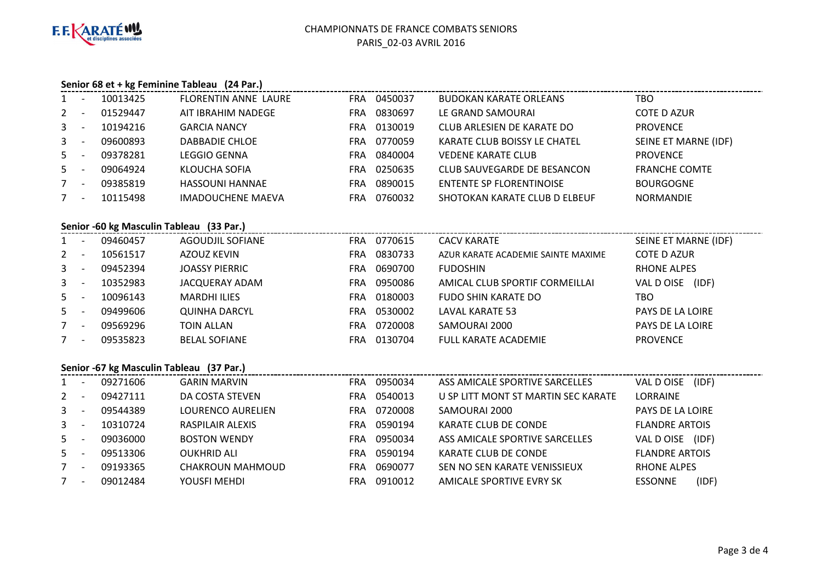

### **Senior 68 et + kg Feminine Tableau (24 Par.)**

|         | - - | 10013425 | <b>FLORENTIN ANNE LAURE</b> | <b>FRA</b> | 0450037 | <b>BUDOKAN KARATE ORLEANS</b>   | тво                  |
|---------|-----|----------|-----------------------------|------------|---------|---------------------------------|----------------------|
| $2 -$   |     | 01529447 | AIT IBRAHIM NADEGE          | FRA        | 0830697 | LE GRAND SAMOURAI               | <b>COTE D AZUR</b>   |
| $3 -$   |     | 10194216 | <b>GARCIA NANCY</b>         | FRA        | 0130019 | CLUB ARLESIEN DE KARATE DO      | <b>PROVENCE</b>      |
| $3 - 5$ |     | 09600893 | DABBADIE CHLOE              | FRA        | 0770059 | KARATE CLUB BOISSY LE CHATEL    | SEINE ET MARNE (IDF) |
| $5 -$   |     | 09378281 | <b>LEGGIO GENNA</b>         | FRA        | 0840004 | <b>VEDENE KARATE CLUB</b>       | <b>PROVENCE</b>      |
| $5 -$   |     | 09064924 | KLOUCHA SOFIA               | FRA        | 0250635 | CLUB SAUVEGARDE DE BESANCON     | <b>FRANCHE COMTE</b> |
|         | - - | 09385819 | <b>HASSOUNI HANNAE</b>      | <b>FRA</b> | 0890015 | <b>ENTENTE SP FLORENTINOISE</b> | <b>BOURGOGNE</b>     |
| $7 -$   |     | 10115498 | <b>IMADOUCHENE MAEVA</b>    | FRA        | 0760032 | SHOTOKAN KARATE CLUB D ELBEUF   | <b>NORMANDIE</b>     |

### **Senior -60 kg Masculin Tableau (33 Par.)**

| $1 -$   | 09460457 | AGOUDJIL SOFIANE      | <b>FRA</b> | 0770615 | <b>CACV KARATE</b>                 | SEINE ET MARNE (IDF) |
|---------|----------|-----------------------|------------|---------|------------------------------------|----------------------|
| $2 -$   | 10561517 | AZOUZ KEVIN           | <b>FRA</b> | 0830733 | AZUR KARATE ACADEMIE SAINTE MAXIME | COTE D AZUR          |
| $3 - 5$ | 09452394 | <b>JOASSY PIERRIC</b> | <b>FRA</b> | 0690700 | <b>FUDOSHIN</b>                    | RHONE ALPES          |
| $3 -$   | 10352983 | JACQUERAY ADAM        | <b>FRA</b> | 0950086 | AMICAL CLUB SPORTIF CORMEILLAI     | VAL D OISE (IDF)     |
| $5 -$   | 10096143 | <b>MARDHI ILIES</b>   | <b>FRA</b> | 0180003 | FUDO SHIN KARATE DO                | TBO                  |
| $5 -$   | 09499606 | <b>QUINHA DARCYL</b>  | <b>FRA</b> | 0530002 | LAVAL KARATE 53                    | PAYS DE LA LOIRE     |
| $7 -$   | 09569296 | TOIN ALLAN            | <b>FRA</b> | 0720008 | SAMOURAI 2000                      | PAYS DE LA LOIRE     |
| $7 -$   | 09535823 | <b>BELAL SOFIANE</b>  | FRA        | 0130704 | <b>FULL KARATE ACADEMIE</b>        | <b>PROVENCE</b>      |
|         |          |                       |            |         |                                    |                      |

# **Senior -67 kg Masculin Tableau (37 Par.)**

|              | $3$ $\epsilon$ $\alpha$ $\beta$ $\gamma$ $\alpha$ $\beta$ $\gamma$ $\alpha$ $\beta$ $\gamma$ $\alpha$ $\beta$ $\gamma$ |          |                     |            |         |                                     |                         |  |  |  |  |
|--------------|------------------------------------------------------------------------------------------------------------------------|----------|---------------------|------------|---------|-------------------------------------|-------------------------|--|--|--|--|
| 1            | $\overline{a}$                                                                                                         | 09271606 | <b>GARIN MARVIN</b> | <b>FRA</b> | 0950034 | ASS AMICALE SPORTIVE SARCELLES      | VAL D OISE<br>(IDF)     |  |  |  |  |
| $2^{\circ}$  | $\overline{\phantom{a}}$                                                                                               | 09427111 | DA COSTA STEVEN     | FRA        | 0540013 | U SP LITT MONT ST MARTIN SEC KARATE | LORRAINE                |  |  |  |  |
| $\mathbf{3}$ | $\overline{\phantom{0}}$                                                                                               | 09544389 | LOURENCO AURELIEN   | FRA        | 0720008 | SAMOURAI 2000                       | <b>PAYS DE LA LOIRE</b> |  |  |  |  |
| $\mathbf{3}$ | $\overline{\phantom{0}}$                                                                                               | 10310724 | RASPILAIR ALEXIS    | FRA        | 0590194 | KARATE CLUB DE CONDE                | <b>FLANDRE ARTOIS</b>   |  |  |  |  |
| $5 -$        |                                                                                                                        | 09036000 | <b>BOSTON WENDY</b> | <b>FRA</b> | 0950034 | ASS AMICALE SPORTIVE SARCELLES      | VAL D OISE<br>(IDF)     |  |  |  |  |
| $5 -$        |                                                                                                                        | 09513306 | <b>OUKHRID ALI</b>  | FRA        | 0590194 | KARATE CLUB DE CONDE                | <b>FLANDRE ARTOIS</b>   |  |  |  |  |
|              | $\overline{\phantom{a}}$                                                                                               | 09193365 | CHAKROUN MAHMOUD    | FRA        | 0690077 | SEN NO SEN KARATE VENISSIEUX        | <b>RHONE ALPES</b>      |  |  |  |  |
|              | $\overline{\phantom{a}}$                                                                                               | 09012484 | YOUSFI MEHDI        | FRA        | 0910012 | AMICALE SPORTIVE EVRY SK            | (IDF)<br><b>ESSONNE</b> |  |  |  |  |
|              |                                                                                                                        |          |                     |            |         |                                     |                         |  |  |  |  |